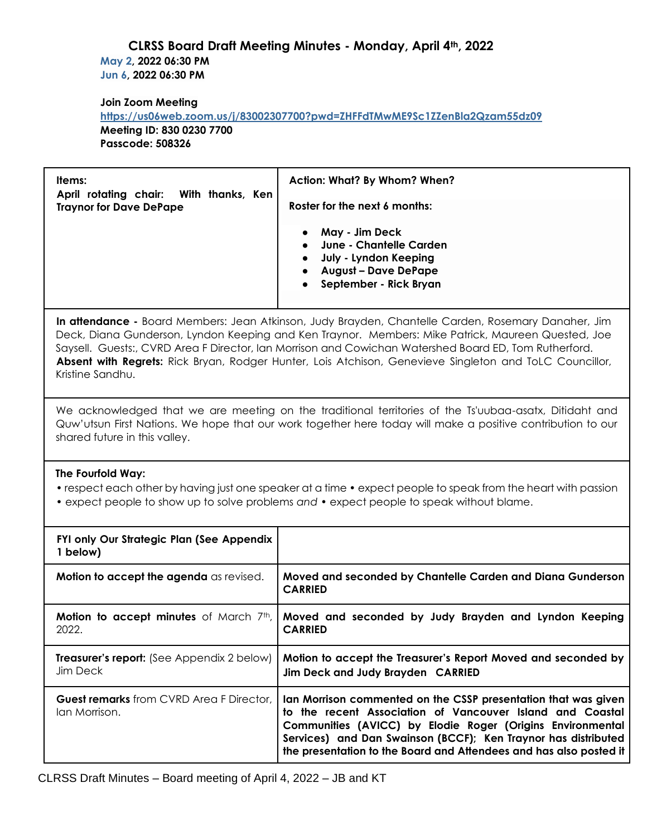## **CLRSS Board Draft Meeting Minutes - Monday, April 4th, 2022 May 2, 2022 06:30 PM Jun 6, 2022 06:30 PM**

#### **Join Zoom Meeting**

**<https://us06web.zoom.us/j/83002307700?pwd=ZHFFdTMwME9Sc1ZZenBla2Qzam55dz09> Meeting ID: 830 0230 7700 Passcode: 508326**

| Items:<br>April rotating chair: With thanks, Ken | Action: What? By Whom? When?                                                                                                                                              |
|--------------------------------------------------|---------------------------------------------------------------------------------------------------------------------------------------------------------------------------|
| <b>Traynor for Dave DePape</b>                   | Roster for the next 6 months:                                                                                                                                             |
|                                                  | May - Jim Deck<br><b>June - Chantelle Carden</b><br>July - Lyndon Keeping<br>$\bullet$<br><b>August - Dave DePape</b><br>$\bullet$<br>September - Rick Bryan<br>$\bullet$ |

**In attendance -** Board Members: Jean Atkinson, Judy Brayden, Chantelle Carden, Rosemary Danaher, Jim Deck, Diana Gunderson, Lyndon Keeping and Ken Traynor. Members: Mike Patrick, Maureen Quested, Joe Saysell. Guests:, CVRD Area F Director, Ian Morrison and Cowichan Watershed Board ED, Tom Rutherford. **Absent with Regrets:** Rick Bryan, Rodger Hunter, Lois Atchison, Genevieve Singleton and ToLC Councillor, Kristine Sandhu.

We acknowledged that we are meeting on the traditional territories of the Ts'uubaa-asatx, Ditidaht and Quw'utsun First Nations. We hope that our work together here today will make a positive contribution to our shared future in this valley.

#### **The Fourfold Way:**

- respect each other by having just one speaker at a time expect people to speak from the heart with passion
- expect people to show up to solve problems *and*  expect people to speak without blame.

| FYI only Our Strategic Plan (See Appendix<br>1 below)            |                                                                                                                                                                                                                                                                                                                                   |
|------------------------------------------------------------------|-----------------------------------------------------------------------------------------------------------------------------------------------------------------------------------------------------------------------------------------------------------------------------------------------------------------------------------|
| Motion to accept the agenda as revised.                          | Moved and seconded by Chantelle Carden and Diana Gunderson<br><b>CARRIED</b>                                                                                                                                                                                                                                                      |
| <b>Motion to accept minutes</b> of March $7th$ ,<br>2022.        | Moved and seconded by Judy Brayden and Lyndon Keeping<br><b>CARRIED</b>                                                                                                                                                                                                                                                           |
| <b>Treasurer's report:</b> (See Appendix 2 below)<br>Jim Deck    | Motion to accept the Treasurer's Report Moved and seconded by<br>Jim Deck and Judy Brayden CARRIED                                                                                                                                                                                                                                |
| <b>Guest remarks</b> from CVRD Area F Director,<br>Ian Morrison. | Ian Morrison commented on the CSSP presentation that was given<br>to the recent Association of Vancouver Island and Coastal<br>Communities (AVICC) by Elodie Roger (Origins Environmental<br>Services) and Dan Swainson (BCCF); Ken Traynor has distributed<br>the presentation to the Board and Attendees and has also posted it |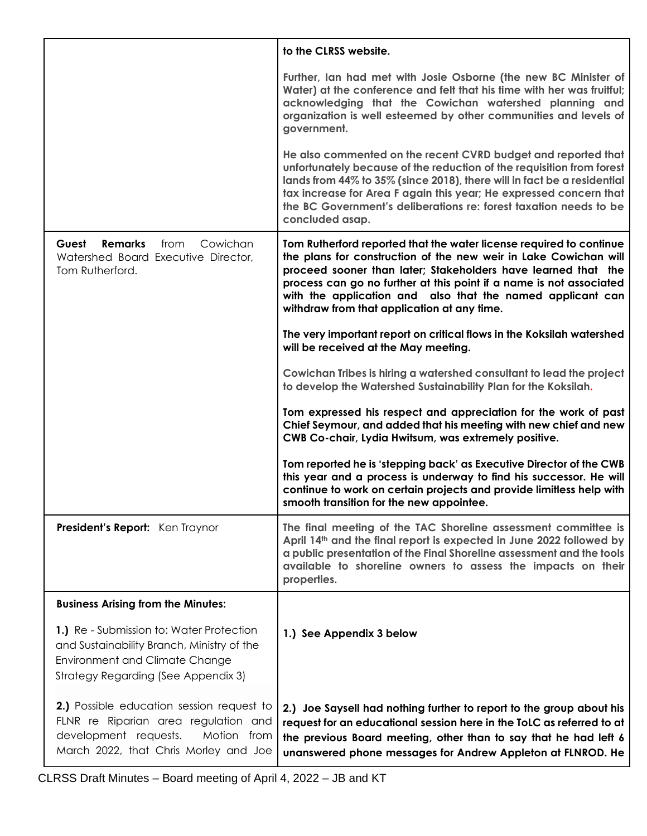|                                                                                                                                                                        | to the CLRSS website.                                                                                                                                                                                                                                                                                                                                                                        |  |
|------------------------------------------------------------------------------------------------------------------------------------------------------------------------|----------------------------------------------------------------------------------------------------------------------------------------------------------------------------------------------------------------------------------------------------------------------------------------------------------------------------------------------------------------------------------------------|--|
|                                                                                                                                                                        | Further, Ian had met with Josie Osborne (the new BC Minister of<br>Water) at the conference and felt that his time with her was fruitful;<br>acknowledging that the Cowichan watershed planning and<br>organization is well esteemed by other communities and levels of<br>government.                                                                                                       |  |
|                                                                                                                                                                        | He also commented on the recent CVRD budget and reported that<br>unfortunately because of the reduction of the requisition from forest<br>lands from 44% to 35% (since 2018), there will in fact be a residential<br>tax increase for Area F again this year; He expressed concern that<br>the BC Government's deliberations re: forest taxation needs to be<br>concluded asap.              |  |
| Guest<br><b>Remarks</b><br>Cowichan<br>from<br>Watershed Board Executive Director,<br>Tom Rutherford.                                                                  | Tom Rutherford reported that the water license required to continue<br>the plans for construction of the new weir in Lake Cowichan will<br>proceed sooner than later; Stakeholders have learned that the<br>process can go no further at this point if a name is not associated<br>with the application and also that the named applicant can<br>withdraw from that application at any time. |  |
|                                                                                                                                                                        | The very important report on critical flows in the Koksilah watershed<br>will be received at the May meeting.                                                                                                                                                                                                                                                                                |  |
|                                                                                                                                                                        | Cowichan Tribes is hiring a watershed consultant to lead the project<br>to develop the Watershed Sustainability Plan for the Koksilah.                                                                                                                                                                                                                                                       |  |
|                                                                                                                                                                        | Tom expressed his respect and appreciation for the work of past<br>Chief Seymour, and added that his meeting with new chief and new<br>CWB Co-chair, Lydia Hwitsum, was extremely positive.                                                                                                                                                                                                  |  |
|                                                                                                                                                                        | Tom reported he is 'stepping back' as Executive Director of the CWB<br>this year and a process is underway to find his successor. He will<br>continue to work on certain projects and provide limitless help with<br>smooth transition for the new appointee.                                                                                                                                |  |
| President's Report: Ken Traynor                                                                                                                                        | The final meeting of the TAC Shoreline assessment committee is<br>April 14th and the final report is expected in June 2022 followed by<br>a public presentation of the Final Shoreline assessment and the tools<br>available to shoreline owners to assess the impacts on their<br>properties.                                                                                               |  |
| <b>Business Arising from the Minutes:</b>                                                                                                                              |                                                                                                                                                                                                                                                                                                                                                                                              |  |
| 1.) Re - Submission to: Water Protection<br>and Sustainability Branch, Ministry of the<br><b>Environment and Climate Change</b><br>Strategy Regarding (See Appendix 3) | 1.) See Appendix 3 below                                                                                                                                                                                                                                                                                                                                                                     |  |
| 2.) Possible education session request to<br>FLNR re Riparian area regulation and<br>development requests.<br>Motion from<br>March 2022, that Chris Morley and Joe     | 2.) Joe Saysell had nothing further to report to the group about his<br>request for an educational session here in the ToLC as referred to at<br>the previous Board meeting, other than to say that he had left 6<br>unanswered phone messages for Andrew Appleton at FLNROD. He                                                                                                             |  |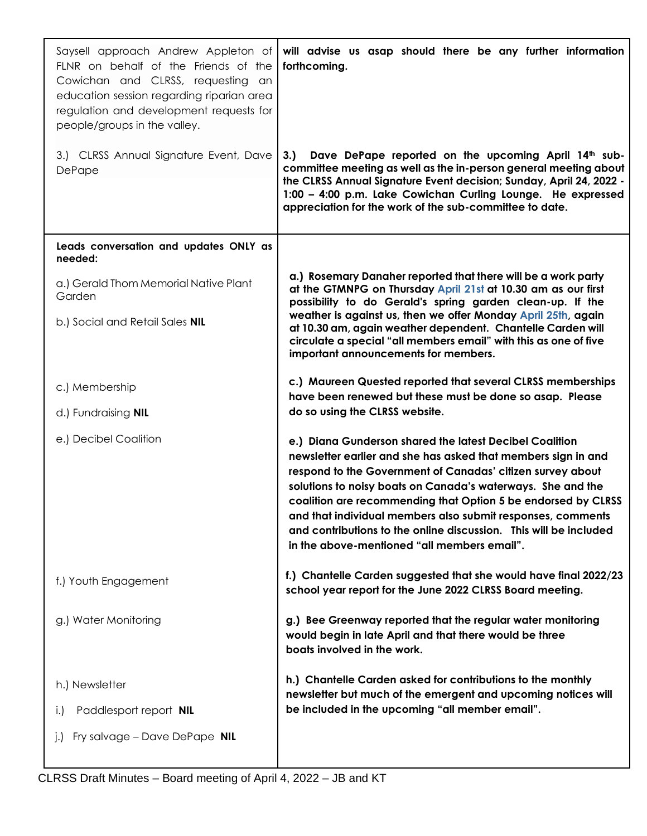| Saysell approach Andrew Appleton of<br>FLNR on behalf of the Friends of the<br>Cowichan and CLRSS, requesting an<br>education session regarding riparian area<br>regulation and development requests for<br>people/groups in the valley. | will advise us asap should there be any further information<br>forthcoming.                                                                                                                                                                                                                                                                                                                                                                                                                               |
|------------------------------------------------------------------------------------------------------------------------------------------------------------------------------------------------------------------------------------------|-----------------------------------------------------------------------------------------------------------------------------------------------------------------------------------------------------------------------------------------------------------------------------------------------------------------------------------------------------------------------------------------------------------------------------------------------------------------------------------------------------------|
| 3.) CLRSS Annual Signature Event, Dave<br>DePape                                                                                                                                                                                         | Dave DePape reported on the upcoming April 14th sub-<br>3.<br>committee meeting as well as the in-person general meeting about<br>the CLRSS Annual Signature Event decision; Sunday, April 24, 2022 -<br>1:00 - 4:00 p.m. Lake Cowichan Curling Lounge. He expressed<br>appreciation for the work of the sub-committee to date.                                                                                                                                                                           |
| Leads conversation and updates ONLY as<br>needed:                                                                                                                                                                                        |                                                                                                                                                                                                                                                                                                                                                                                                                                                                                                           |
| a.) Gerald Thom Memorial Native Plant<br>Garden                                                                                                                                                                                          | a.) Rosemary Danaher reported that there will be a work party<br>at the GTMNPG on Thursday April 21st at 10.30 am as our first<br>possibility to do Gerald's spring garden clean-up. If the                                                                                                                                                                                                                                                                                                               |
| b.) Social and Retail Sales NIL                                                                                                                                                                                                          | weather is against us, then we offer Monday April 25th, again<br>at 10.30 am, again weather dependent. Chantelle Carden will<br>circulate a special "all members email" with this as one of five<br>important announcements for members.                                                                                                                                                                                                                                                                  |
| c.) Membership                                                                                                                                                                                                                           | c.) Maureen Quested reported that several CLRSS memberships<br>have been renewed but these must be done so asap. Please                                                                                                                                                                                                                                                                                                                                                                                   |
| d.) Fundraising <b>NIL</b>                                                                                                                                                                                                               | do so using the CLRSS website.                                                                                                                                                                                                                                                                                                                                                                                                                                                                            |
| e.) Decibel Coalition                                                                                                                                                                                                                    | e.) Diana Gunderson shared the latest Decibel Coalition<br>newsletter earlier and she has asked that members sign in and<br>respond to the Government of Canadas' citizen survey about<br>solutions to noisy boats on Canada's waterways. She and the<br>coalition are recommending that Option 5 be endorsed by CLRSS<br>and that individual members also submit responses, comments<br>and contributions to the online discussion. This will be included<br>in the above-mentioned "all members email". |
| f.) Youth Engagement                                                                                                                                                                                                                     | f.) Chantelle Carden suggested that she would have final 2022/23<br>school year report for the June 2022 CLRSS Board meeting.                                                                                                                                                                                                                                                                                                                                                                             |
| g.) Water Monitoring                                                                                                                                                                                                                     | g.) Bee Greenway reported that the regular water monitoring<br>would begin in late April and that there would be three<br>boats involved in the work.                                                                                                                                                                                                                                                                                                                                                     |
| h.) Newsletter                                                                                                                                                                                                                           | h.) Chantelle Carden asked for contributions to the monthly<br>newsletter but much of the emergent and upcoming notices will                                                                                                                                                                                                                                                                                                                                                                              |
| Paddlesport report NIL<br>$\vert . \vert$                                                                                                                                                                                                | be included in the upcoming "all member email".                                                                                                                                                                                                                                                                                                                                                                                                                                                           |
| Fry salvage - Dave DePape NIL                                                                                                                                                                                                            |                                                                                                                                                                                                                                                                                                                                                                                                                                                                                                           |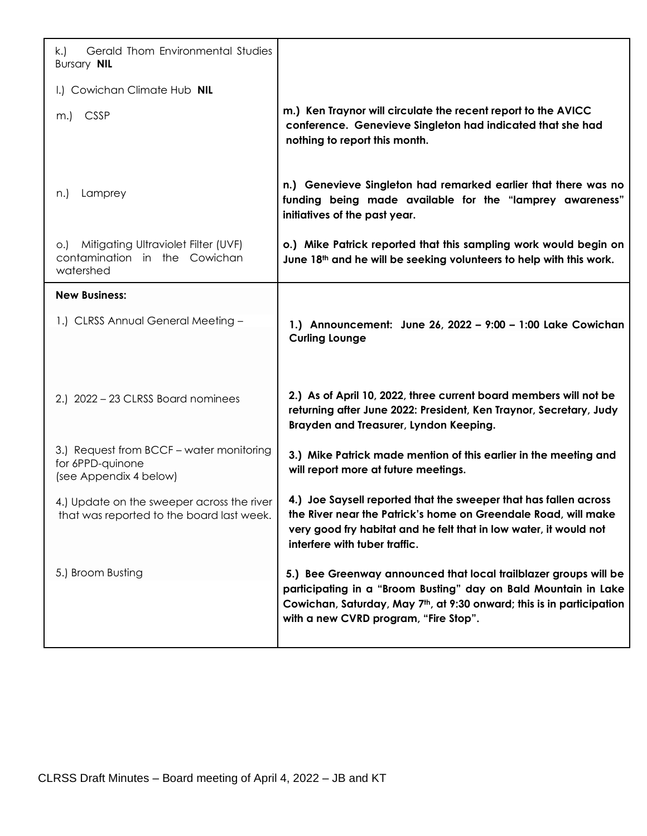| Gerald Thom Environmental Studies<br>k.)<br><b>Bursary NIL</b>                             |                                                                                                                                                                                                                                                                    |
|--------------------------------------------------------------------------------------------|--------------------------------------------------------------------------------------------------------------------------------------------------------------------------------------------------------------------------------------------------------------------|
| I.) Cowichan Climate Hub NIL                                                               |                                                                                                                                                                                                                                                                    |
| <b>CSSP</b><br>m.)                                                                         | m.) Ken Traynor will circulate the recent report to the AVICC<br>conference. Genevieve Singleton had indicated that she had<br>nothing to report this month.                                                                                                       |
| Lamprey<br>n.)                                                                             | n.) Genevieve Singleton had remarked earlier that there was no<br>funding being made available for the "lamprey awareness"<br>initiatives of the past year.                                                                                                        |
| Mitigating Ultraviolet Filter (UVF)<br>O.<br>contamination<br>in the Cowichan<br>watershed | o.) Mike Patrick reported that this sampling work would begin on<br>June 18 <sup>th</sup> and he will be seeking volunteers to help with this work.                                                                                                                |
| <b>New Business:</b>                                                                       |                                                                                                                                                                                                                                                                    |
| 1.) CLRSS Annual General Meeting -                                                         | 1.) Announcement: June 26, 2022 - 9:00 - 1:00 Lake Cowichan<br><b>Curling Lounge</b>                                                                                                                                                                               |
| 2.) 2022 - 23 CLRSS Board nominees                                                         | 2.) As of April 10, 2022, three current board members will not be<br>returning after June 2022: President, Ken Traynor, Secretary, Judy<br>Brayden and Treasurer, Lyndon Keeping.                                                                                  |
| 3.) Request from BCCF - water monitoring<br>for 6PPD-quinone<br>(see Appendix 4 below)     | 3.) Mike Patrick made mention of this earlier in the meeting and<br>will report more at future meetings.                                                                                                                                                           |
| 4.) Update on the sweeper across the river<br>that was reported to the board last week.    | 4.) Joe Saysell reported that the sweeper that has fallen across<br>the River near the Patrick's home on Greendale Road, will make<br>very good fry habitat and he felt that in low water, it would not<br>interfere with tuber traffic.                           |
| 5.) Broom Busting                                                                          | 5.) Bee Greenway announced that local trailblazer groups will be<br>participating in a "Broom Busting" day on Bald Mountain in Lake<br>Cowichan, Saturday, May 7 <sup>th</sup> , at 9:30 onward; this is in participation<br>with a new CVRD program, "Fire Stop". |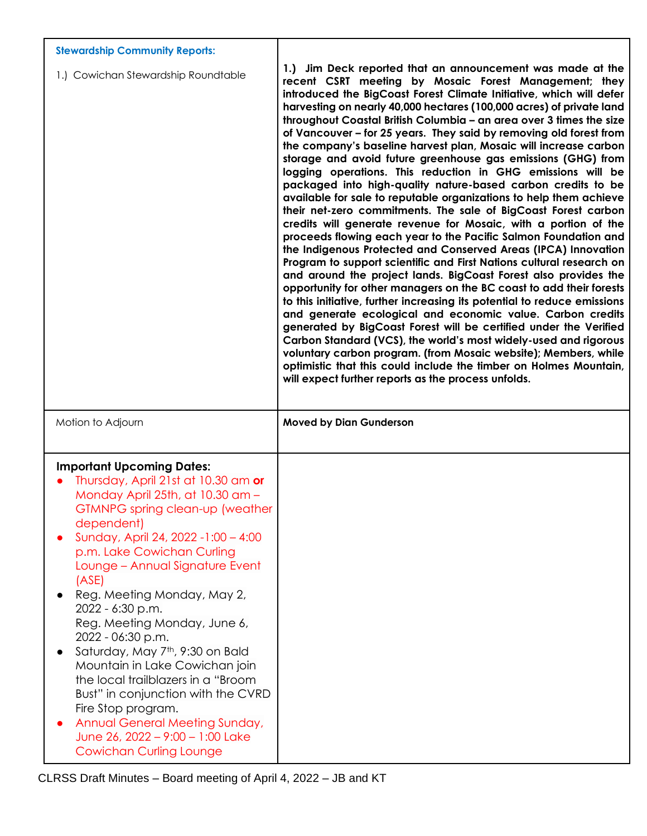| <b>Stewardship Community Reports:</b>                                                                                |                                                                                                                                                                                                                                                                                                                                                                                                                                                                                                                                                                                                                                                                                                                                                                                                                                                                                                                                                                                                                                                                                                                                                                                                                                                                                                                                                                                                                                                                                                                                                                                                                                                                                                                                        |
|----------------------------------------------------------------------------------------------------------------------|----------------------------------------------------------------------------------------------------------------------------------------------------------------------------------------------------------------------------------------------------------------------------------------------------------------------------------------------------------------------------------------------------------------------------------------------------------------------------------------------------------------------------------------------------------------------------------------------------------------------------------------------------------------------------------------------------------------------------------------------------------------------------------------------------------------------------------------------------------------------------------------------------------------------------------------------------------------------------------------------------------------------------------------------------------------------------------------------------------------------------------------------------------------------------------------------------------------------------------------------------------------------------------------------------------------------------------------------------------------------------------------------------------------------------------------------------------------------------------------------------------------------------------------------------------------------------------------------------------------------------------------------------------------------------------------------------------------------------------------|
| 1.) Cowichan Stewardship Roundtable                                                                                  | 1.) Jim Deck reported that an announcement was made at the<br>recent CSRT meeting by Mosaic Forest Management; they<br>introduced the BigCoast Forest Climate Initiative, which will defer<br>harvesting on nearly 40,000 hectares (100,000 acres) of private land<br>throughout Coastal British Columbia - an area over 3 times the size<br>of Vancouver - for 25 years. They said by removing old forest from<br>the company's baseline harvest plan, Mosaic will increase carbon<br>storage and avoid future greenhouse gas emissions (GHG) from<br>logging operations. This reduction in GHG emissions will be<br>packaged into high-quality nature-based carbon credits to be<br>available for sale to reputable organizations to help them achieve<br>their net-zero commitments. The sale of BigCoast Forest carbon<br>credits will generate revenue for Mosaic, with a portion of the<br>proceeds flowing each year to the Pacific Salmon Foundation and<br>the Indigenous Protected and Conserved Areas (IPCA) Innovation<br>Program to support scientific and First Nations cultural research on<br>and around the project lands. BigCoast Forest also provides the<br>opportunity for other managers on the BC coast to add their forests<br>to this initiative, further increasing its potential to reduce emissions<br>and generate ecological and economic value. Carbon credits<br>generated by BigCoast Forest will be certified under the Verified<br>Carbon Standard (VCS), the world's most widely-used and rigorous<br>voluntary carbon program. (from Mosaic website); Members, while<br>optimistic that this could include the timber on Holmes Mountain,<br>will expect further reports as the process unfolds. |
|                                                                                                                      |                                                                                                                                                                                                                                                                                                                                                                                                                                                                                                                                                                                                                                                                                                                                                                                                                                                                                                                                                                                                                                                                                                                                                                                                                                                                                                                                                                                                                                                                                                                                                                                                                                                                                                                                        |
| Motion to Adjourn                                                                                                    | <b>Moved by Dian Gunderson</b>                                                                                                                                                                                                                                                                                                                                                                                                                                                                                                                                                                                                                                                                                                                                                                                                                                                                                                                                                                                                                                                                                                                                                                                                                                                                                                                                                                                                                                                                                                                                                                                                                                                                                                         |
|                                                                                                                      |                                                                                                                                                                                                                                                                                                                                                                                                                                                                                                                                                                                                                                                                                                                                                                                                                                                                                                                                                                                                                                                                                                                                                                                                                                                                                                                                                                                                                                                                                                                                                                                                                                                                                                                                        |
| <b>Important Upcoming Dates:</b><br>Thursday, April 21st at 10.30 am or                                              |                                                                                                                                                                                                                                                                                                                                                                                                                                                                                                                                                                                                                                                                                                                                                                                                                                                                                                                                                                                                                                                                                                                                                                                                                                                                                                                                                                                                                                                                                                                                                                                                                                                                                                                                        |
| Monday April 25th, at 10.30 am -<br>GTMNPG spring clean-up (weather                                                  |                                                                                                                                                                                                                                                                                                                                                                                                                                                                                                                                                                                                                                                                                                                                                                                                                                                                                                                                                                                                                                                                                                                                                                                                                                                                                                                                                                                                                                                                                                                                                                                                                                                                                                                                        |
| dependent)<br>Sunday, April 24, 2022 -1:00 - 4:00                                                                    |                                                                                                                                                                                                                                                                                                                                                                                                                                                                                                                                                                                                                                                                                                                                                                                                                                                                                                                                                                                                                                                                                                                                                                                                                                                                                                                                                                                                                                                                                                                                                                                                                                                                                                                                        |
| p.m. Lake Cowichan Curling<br>Lounge - Annual Signature Event                                                        |                                                                                                                                                                                                                                                                                                                                                                                                                                                                                                                                                                                                                                                                                                                                                                                                                                                                                                                                                                                                                                                                                                                                                                                                                                                                                                                                                                                                                                                                                                                                                                                                                                                                                                                                        |
| (ASE)                                                                                                                |                                                                                                                                                                                                                                                                                                                                                                                                                                                                                                                                                                                                                                                                                                                                                                                                                                                                                                                                                                                                                                                                                                                                                                                                                                                                                                                                                                                                                                                                                                                                                                                                                                                                                                                                        |
| Reg. Meeting Monday, May 2,<br>2022 - 6:30 p.m.                                                                      |                                                                                                                                                                                                                                                                                                                                                                                                                                                                                                                                                                                                                                                                                                                                                                                                                                                                                                                                                                                                                                                                                                                                                                                                                                                                                                                                                                                                                                                                                                                                                                                                                                                                                                                                        |
| Reg. Meeting Monday, June 6,<br>2022 - 06:30 p.m.                                                                    |                                                                                                                                                                                                                                                                                                                                                                                                                                                                                                                                                                                                                                                                                                                                                                                                                                                                                                                                                                                                                                                                                                                                                                                                                                                                                                                                                                                                                                                                                                                                                                                                                                                                                                                                        |
| Saturday, May 7 <sup>th</sup> , 9:30 on Bald<br>Mountain in Lake Cowichan join<br>the local trailblazers in a "Broom |                                                                                                                                                                                                                                                                                                                                                                                                                                                                                                                                                                                                                                                                                                                                                                                                                                                                                                                                                                                                                                                                                                                                                                                                                                                                                                                                                                                                                                                                                                                                                                                                                                                                                                                                        |
| Bust" in conjunction with the CVRD<br>Fire Stop program.                                                             |                                                                                                                                                                                                                                                                                                                                                                                                                                                                                                                                                                                                                                                                                                                                                                                                                                                                                                                                                                                                                                                                                                                                                                                                                                                                                                                                                                                                                                                                                                                                                                                                                                                                                                                                        |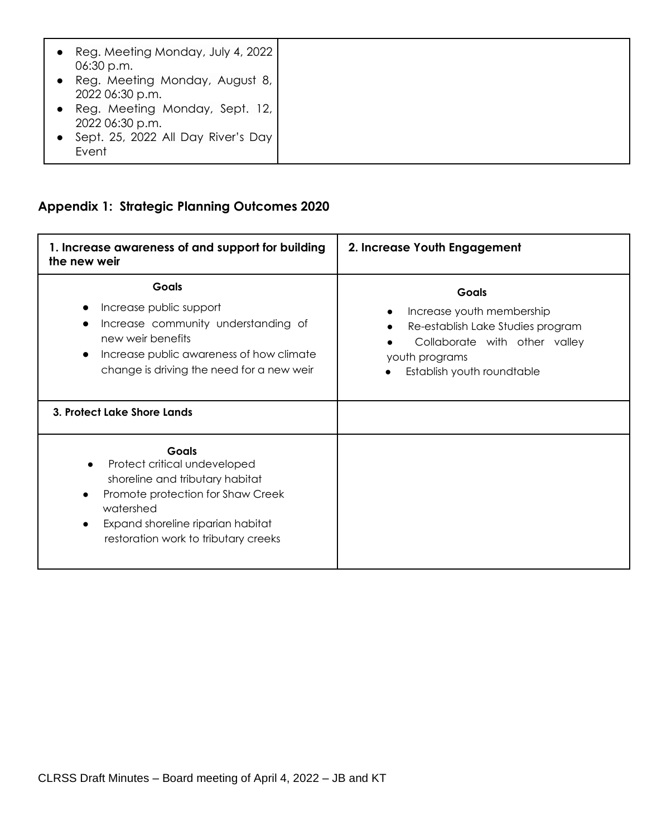| Reg. Meeting Monday, July 4, 2022<br>06:30 p.m.<br>Reg. Meeting Monday, August 8,<br>2022 06:30 p.m. |
|------------------------------------------------------------------------------------------------------|
| Reg. Meeting Monday, Sept. 12,<br>2022 06:30 p.m.                                                    |
| Sept. 25, 2022 All Day River's Day<br>Event                                                          |

# **Appendix 1: Strategic Planning Outcomes 2020**

| 1. Increase awareness of and support for building<br>the new weir                                                                                                                                                           | 2. Increase Youth Engagement                                                                                                                                    |
|-----------------------------------------------------------------------------------------------------------------------------------------------------------------------------------------------------------------------------|-----------------------------------------------------------------------------------------------------------------------------------------------------------------|
| Goals<br>Increase public support<br>Increase community understanding of<br>new weir benefits<br>Increase public awareness of how climate<br>$\bullet$<br>change is driving the need for a new weir                          | <b>Goals</b><br>Increase youth membership<br>Re-establish Lake Studies program<br>Collaborate with other valley<br>youth programs<br>Establish youth roundtable |
| 3. Protect Lake Shore Lands                                                                                                                                                                                                 |                                                                                                                                                                 |
| <b>Goals</b><br>Protect critical undeveloped<br>shoreline and tributary habitat<br>Promote protection for Shaw Creek<br>$\bullet$<br>watershed<br>Expand shoreline riparian habitat<br>restoration work to tributary creeks |                                                                                                                                                                 |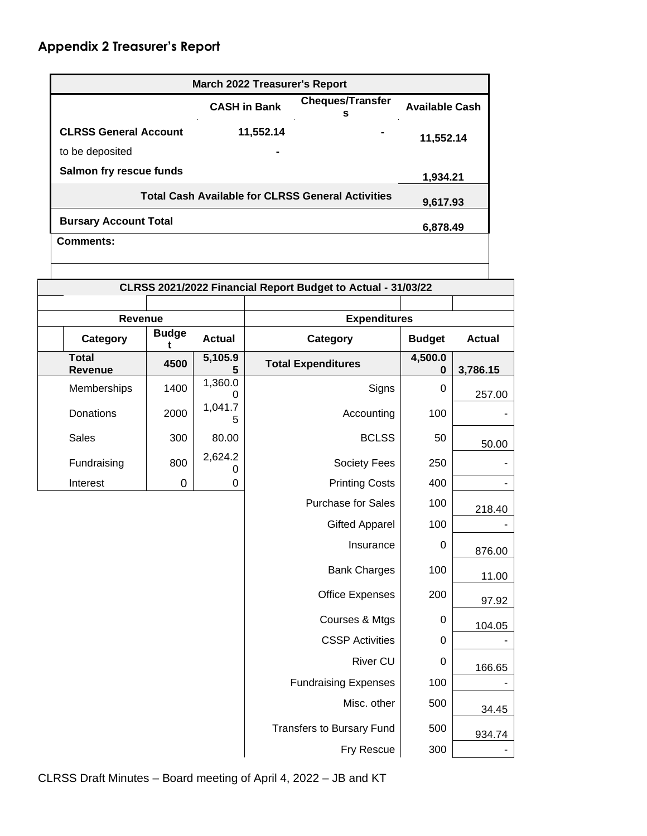|                                |                   |               |                     | <b>March 2022 Treasurer's Report</b>                         |                       |               |
|--------------------------------|-------------------|---------------|---------------------|--------------------------------------------------------------|-----------------------|---------------|
|                                |                   |               | <b>CASH in Bank</b> | <b>Cheques/Transfer</b><br>s                                 | <b>Available Cash</b> |               |
| <b>CLRSS General Account</b>   |                   |               | 11,552.14           |                                                              | 11,552.14             |               |
| to be deposited                |                   |               |                     |                                                              |                       |               |
| Salmon fry rescue funds        |                   |               |                     |                                                              | 1,934.21              |               |
|                                |                   |               |                     | <b>Total Cash Available for CLRSS General Activities</b>     | 9,617.93              |               |
| <b>Bursary Account Total</b>   |                   |               |                     |                                                              | 6,878.49              |               |
| Comments:                      |                   |               |                     |                                                              |                       |               |
|                                |                   |               |                     |                                                              |                       |               |
|                                |                   |               |                     | CLRSS 2021/2022 Financial Report Budget to Actual - 31/03/22 |                       |               |
|                                |                   |               |                     |                                                              |                       |               |
| <b>Revenue</b>                 |                   |               |                     | <b>Expenditures</b>                                          |                       |               |
| Category                       | <b>Budge</b><br>t | <b>Actual</b> |                     | Category                                                     | <b>Budget</b>         | <b>Actual</b> |
| <b>Total</b><br><b>Revenue</b> | 4500              | 5,105.9<br>5  |                     | <b>Total Expenditures</b>                                    | 4,500.0<br>0          | 3,786.15      |
| Memberships                    | 1400              | 1,360.0<br>0  |                     | Signs                                                        | 0                     | 257.00        |
| <b>Donations</b>               | 2000              | 1,041.7<br>5  |                     | Accounting                                                   | 100                   |               |
| <b>Sales</b>                   | 300               | 80.00         |                     | <b>BCLSS</b>                                                 | 50                    | 50.00         |
| Fundraising                    | 800               | 2,624.2<br>0  |                     | <b>Society Fees</b>                                          | 250                   |               |
| Interest                       | 0                 | 0             |                     | <b>Printing Costs</b>                                        | 400                   |               |
|                                |                   |               |                     | <b>Purchase for Sales</b>                                    | 100                   | 218.40        |
|                                |                   |               |                     | <b>Gifted Apparel</b>                                        | 100                   |               |
|                                |                   |               |                     |                                                              |                       |               |

Bank Charges | 100

Office Expenses | 200

Courses & Mtgs | 0

Transfers to Bursary Fund | 500

CSSP Activities | 0 | |

Fry Rescue | 300 | -

River CU | 0

Fundraising Expenses | 100 | -Misc. other 500

11.00

97.92

104.05

166.65

34.45

934.74

CLRSS Draft Minutes – Board meeting of April 4, 2022 – JB and KT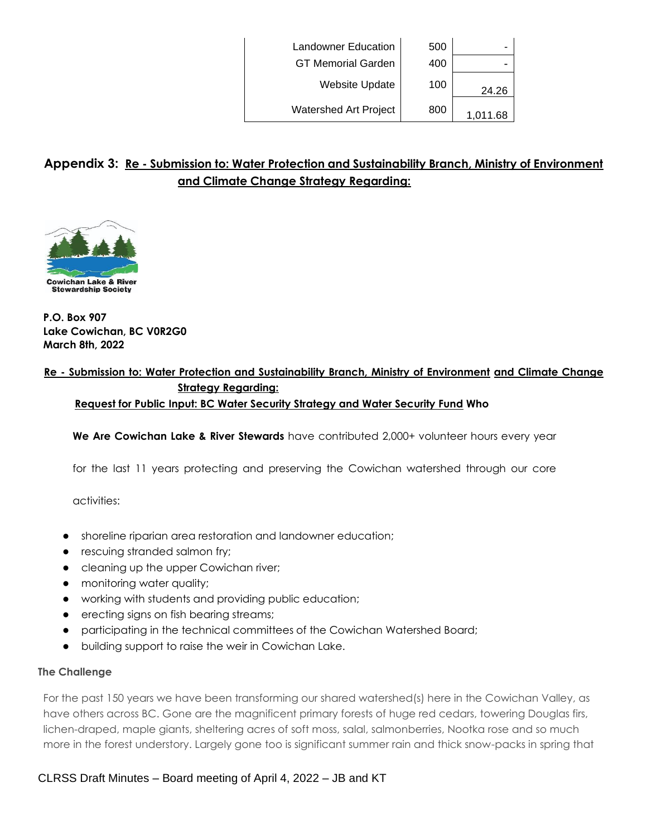|          | 500 | <b>Landowner Education</b>   |
|----------|-----|------------------------------|
|          | 400 | <b>GT Memorial Garden</b>    |
| 24.26    | 100 | <b>Website Update</b>        |
| 1,011.68 | 800 | <b>Watershed Art Project</b> |

# **Appendix 3: Re - Submission to: Water Protection and Sustainability Branch, Ministry of Environment and Climate Change Strategy Regarding:**



**P.O. Box 907 Lake Cowichan, BC V0R2G0 March 8th, 2022**

## **Re - Submission to: Water Protection and Sustainability Branch, Ministry of Environment and Climate Change Strategy Regarding: Request for Public Input: BC Water Security Strategy and Water Security Fund Who**

**We Are Cowichan Lake & River Stewards** have contributed 2,000+ volunteer hours every year

for the last 11 years protecting and preserving the Cowichan watershed through our core

activities:

- shoreline riparian area restoration and landowner education;
- rescuing stranded salmon fry;
- cleaning up the upper Cowichan river;
- monitoring water quality;
- working with students and providing public education;
- erecting signs on fish bearing streams;
- participating in the technical committees of the Cowichan Watershed Board;
- building support to raise the weir in Cowichan Lake.

#### **The Challenge**

For the past 150 years we have been transforming our shared watershed(s) here in the Cowichan Valley, as have others across BC. Gone are the magnificent primary forests of huge red cedars, towering Douglas firs, lichen-draped, maple giants, sheltering acres of soft moss, salal, salmonberries, Nootka rose and so much more in the forest understory. Largely gone too is significant summer rain and thick snow-packs in spring that

## CLRSS Draft Minutes – Board meeting of April 4, 2022 – JB and KT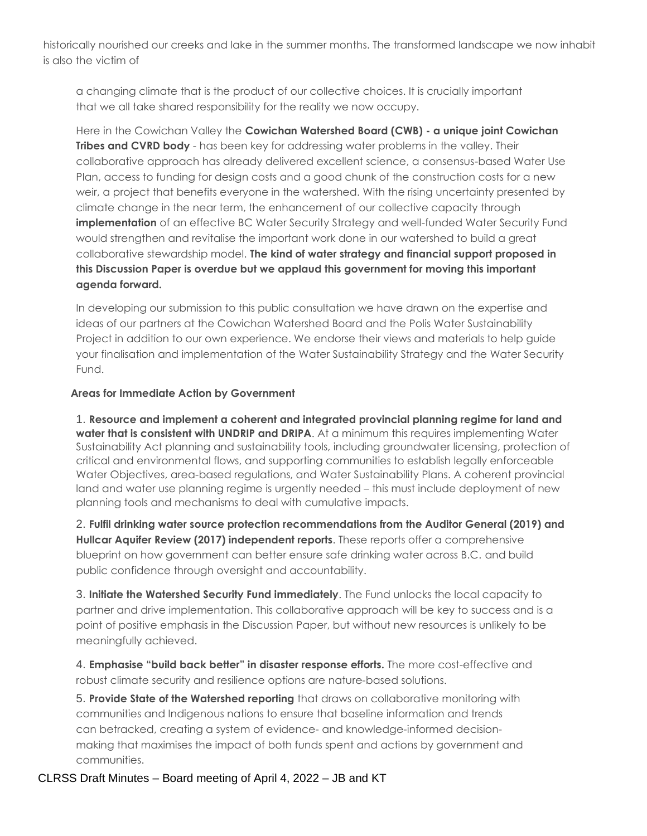historically nourished our creeks and lake in the summer months. The transformed landscape we now inhabit is also the victim of

a changing climate that is the product of our collective choices. It is crucially important that we all take shared responsibility for the reality we now occupy.

Here in the Cowichan Valley the **Cowichan Watershed Board (CWB) - a unique joint Cowichan Tribes and CVRD body** - has been key for addressing water problems in the valley. Their collaborative approach has already delivered excellent science, a consensus-based Water Use Plan, access to funding for design costs and a good chunk of the construction costs for a new weir, a project that benefits everyone in the watershed. With the rising uncertainty presented by climate change in the near term, the enhancement of our collective capacity through **implementation** of an effective BC Water Security Strategy and well-funded Water Security Fund would strengthen and revitalise the important work done in our watershed to build a great collaborative stewardship model. **The kind of water strategy and financial support proposed in this Discussion Paper is overdue but we applaud this government for moving this important agenda forward.**

In developing our submission to this public consultation we have drawn on the expertise and ideas of our partners at the Cowichan Watershed Board and the Polis Water Sustainability Project in addition to our own experience. We endorse their views and materials to help guide your finalisation and implementation of the Water Sustainability Strategy and the Water Security Fund.

## **Areas for Immediate Action by Government**

1. **Resource and implement a coherent and integrated provincial planning regime for land and water that is consistent with UNDRIP and DRIPA.** At a minimum this requires implementing Water Sustainability Act planning and sustainability tools, including groundwater licensing, protection of critical and environmental flows, and supporting communities to establish legally enforceable Water Objectives, area-based regulations, and Water Sustainability Plans. A coherent provincial land and water use planning regime is urgently needed – this must include deployment of new planning tools and mechanisms to deal with cumulative impacts.

2. **Fulfil drinking water source protection recommendations from the Auditor General (2019) and Hullcar Aquifer Review (2017) independent reports**. These reports offer a comprehensive blueprint on how government can better ensure safe drinking water across B.C. and build public confidence through oversight and accountability.

3. **Initiate the Watershed Security Fund immediately**. The Fund unlocks the local capacity to partner and drive implementation. This collaborative approach will be key to success and is a point of positive emphasis in the Discussion Paper, but without new resources is unlikely to be meaningfully achieved.

4. **Emphasise "build back better" in disaster response efforts.** The more cost-effective and robust climate security and resilience options are nature-based solutions.

5. **Provide State of the Watershed reporting** that draws on collaborative monitoring with communities and Indigenous nations to ensure that baseline information and trends can betracked, creating a system of evidence- and knowledge-informed decisionmaking that maximises the impact of both funds spent and actions by government and communities.

CLRSS Draft Minutes – Board meeting of April 4, 2022 – JB and KT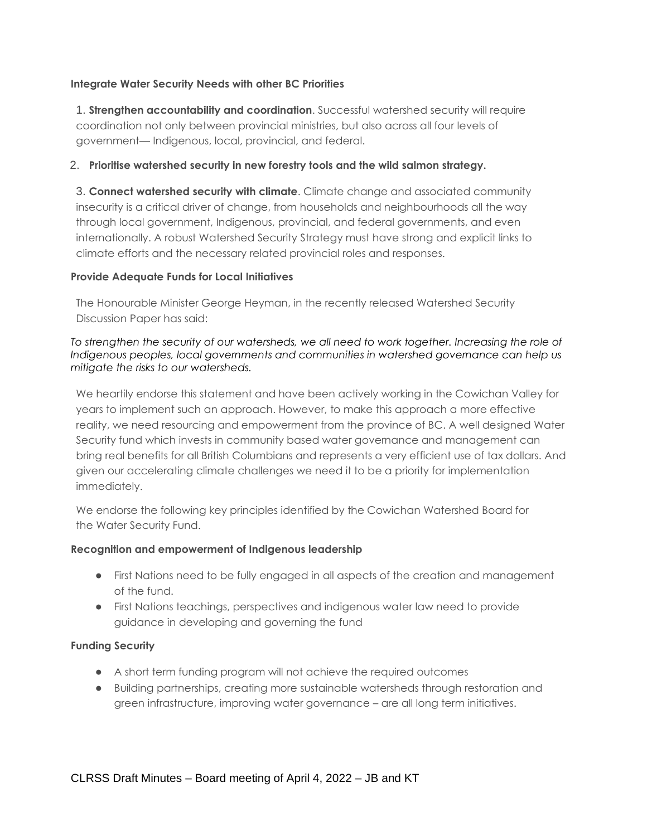#### **Integrate Water Security Needs with other BC Priorities**

1. **Strengthen accountability and coordination**. Successful watershed security will require coordination not only between provincial ministries, but also across all four levels of government— Indigenous, local, provincial, and federal.

#### 2. **Prioritise watershed security in new forestry tools and the wild salmon strategy.**

3. **Connect watershed security with climate**. Climate change and associated community insecurity is a critical driver of change, from households and neighbourhoods all the way through local government, Indigenous, provincial, and federal governments, and even internationally. A robust Watershed Security Strategy must have strong and explicit links to climate efforts and the necessary related provincial roles and responses.

#### **Provide Adequate Funds for Local Initiatives**

The Honourable Minister George Heyman, in the recently released Watershed Security Discussion Paper has said:

#### *To strengthen the security of our watersheds, we all need to work together. Increasing the role of Indigenous peoples, local governments and communities in watershed governance can help us mitigate the risks to our watersheds.*

We heartily endorse this statement and have been actively working in the Cowichan Valley for years to implement such an approach. However, to make this approach a more effective reality, we need resourcing and empowerment from the province of BC. A well designed Water Security fund which invests in community based water governance and management can bring real benefits for all British Columbians and represents a very efficient use of tax dollars. And given our accelerating climate challenges we need it to be a priority for implementation immediately.

We endorse the following key principles identified by the Cowichan Watershed Board for the Water Security Fund.

#### **Recognition and empowerment of Indigenous leadership**

- First Nations need to be fully engaged in all aspects of the creation and management of the fund.
- First Nations teachings, perspectives and indigenous water law need to provide guidance in developing and governing the fund

#### **Funding Security**

- A short term funding program will not achieve the required outcomes
- Building partnerships, creating more sustainable watersheds through restoration and green infrastructure, improving water governance – are all long term initiatives.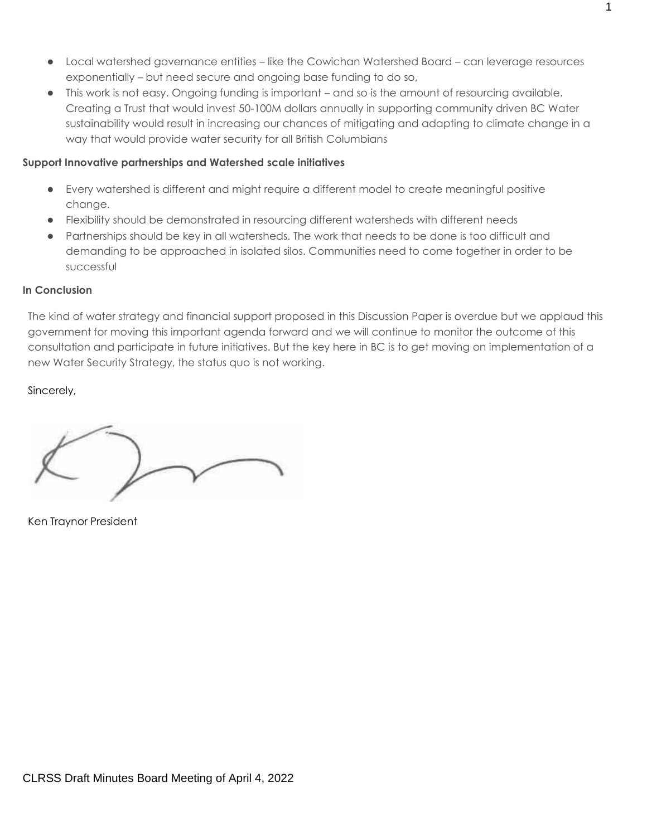- Local watershed governance entities like the Cowichan Watershed Board can leverage resources exponentially – but need secure and ongoing base funding to do so,
- This work is not easy. Ongoing funding is important and so is the amount of resourcing available. Creating a Trust that would invest 50-100M dollars annually in supporting community driven BC Water sustainability would result in increasing our chances of mitigating and adapting to climate change in a way that would provide water security for all British Columbians

#### **Support Innovative partnerships and Watershed scale initiatives**

- Every watershed is different and might require a different model to create meaningful positive change.
- Flexibility should be demonstrated in resourcing different watersheds with different needs
- Partnerships should be key in all watersheds. The work that needs to be done is too difficult and demanding to be approached in isolated silos. Communities need to come together in order to be successful

## **In Conclusion**

The kind of water strategy and financial support proposed in this Discussion Paper is overdue but we applaud this government for moving this important agenda forward and we will continue to monitor the outcome of this consultation and participate in future initiatives. But the key here in BC is to get moving on implementation of a new Water Security Strategy, the status quo is not working.

## Sincerely,

Ken Traynor President